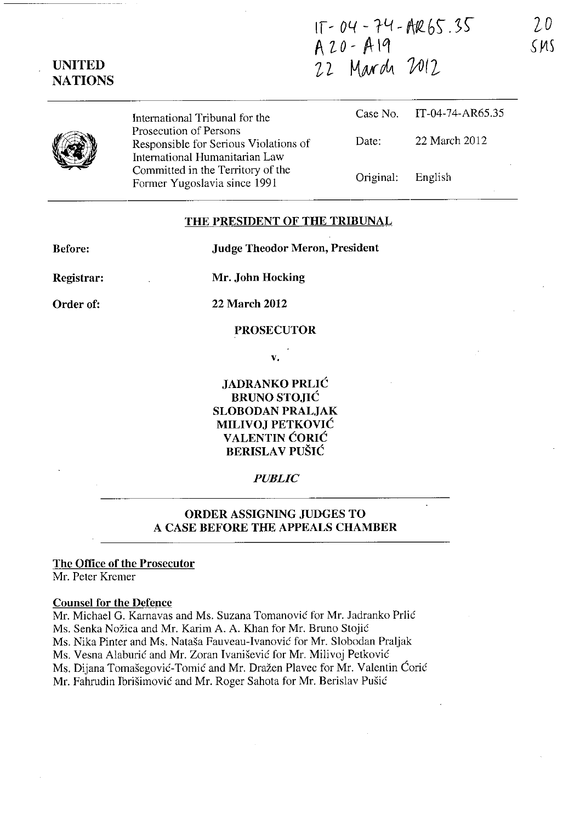$IT - 04 - 74 - AR 65.35$ A'Lo-Alq Z2- *KNrdJt* VJI2

**UNITED NATIONS** 

> International Tribunal for the Prosecution of Persons Responsible for Serious Violations of International Humanitarian Law Committed in the Territory of the Former Yugoslavia since 1991

|                   | Case No. IT-04-74-AR65.35 |
|-------------------|---------------------------|
| Date:             | 22 March 2012             |
| Original: English |                           |

## **THE PRESIDENT OF THE TRIBUNAL**

**Before:** 

**Judge Theodor Meron, President** 

**Registrar: Order of:** 

**Mr. John Hocking** 

**22 March 2012** 

#### **PROSECUTOR**

v.

**JADRANKO PRLIC BRUNO STOJIC SLOBODAN PRALJAK MILIVOJ PETKOVIC V ALENTIN CORIC BERISLAV PUŠIĆ** 

## *PUBLIC*

# **ORDER ASSIGNING JUDGES TO A CASE BEFORE THE APPEALS CHAMBER**

## **The Office of the Prosecutor**

Mr. Peter Krcmer

#### **Counsel for the Defence**

Mr. Michael G. Karnavas and Ms. Suzana Tomanović for Mr. Jadranko Prlić Ms. Senka Nožica and Mr. Karim A. A. Khan for Mr. Bruno Stojić Ms. Nika Pinter and Ms. Natasa Fauveau-Ivanovie for Mr. Slobodan Praljak Ms. Vesna Alaburić and Mr. Zoran Ivanišević for Mr. Milivoj Petković Ms. Dijana Tomašegović-Tomić and Mr. Dražen Plavec for Mr. Valentin Ćorić Mr. Fahrudin Ibrišimović and Mr. Roger Sahota for Mr. Berislav Pušić

*2D*   $SMS$